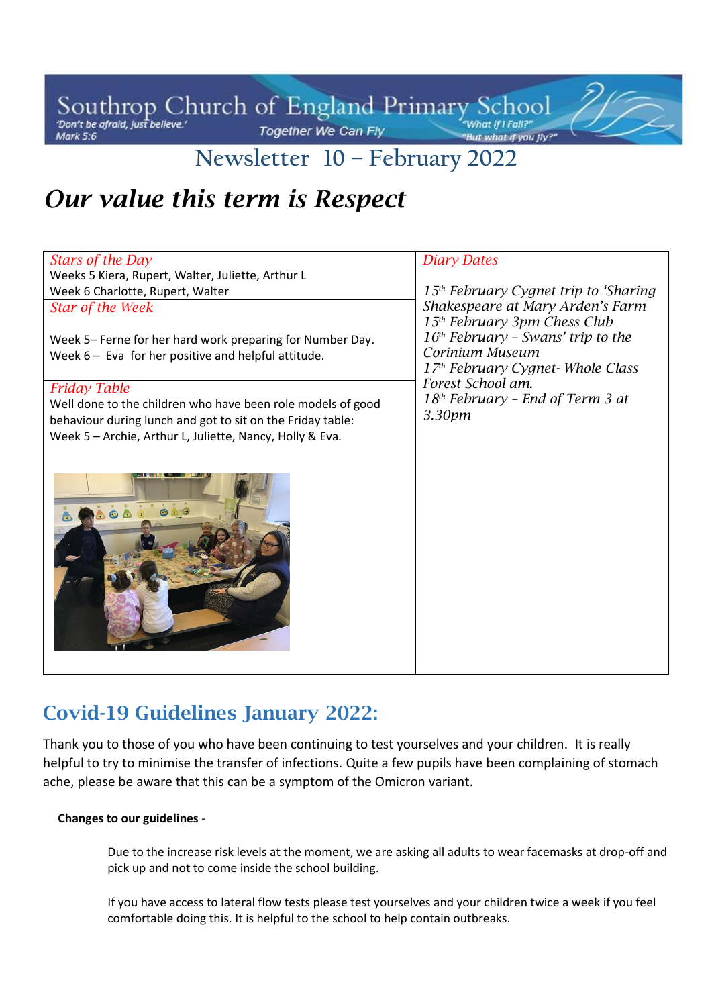Southrop Church of England Primary School **Together We Can Fly** Mark 5:6

## **Newsletter 10 – February 2022**

# *Our value this term is Respect*

| Stars of the Day                                            | <b>Diary Dates</b>                                |
|-------------------------------------------------------------|---------------------------------------------------|
| Weeks 5 Kiera, Rupert, Walter, Juliette, Arthur L           |                                                   |
| Week 6 Charlotte, Rupert, Walter                            | 15 <sup>th</sup> February Cygnet trip to 'Sharing |
| <b>Star of the Week</b>                                     | Shakespeare at Mary Arden's Farm                  |
|                                                             | 15 <sup>th</sup> February 3pm Chess Club          |
| Week 5– Ferne for her hard work preparing for Number Day.   | $16th$ February - Swans' trip to the              |
| Week $6-$ Eva for her positive and helpful attitude.        | Corinium Museum                                   |
|                                                             | 17 <sup>th</sup> February Cygnet-Whole Class      |
| <b>Friday Table</b>                                         | Forest School am.                                 |
| Well done to the children who have been role models of good | 18 <sup>th</sup> February - End of Term 3 at      |
| behaviour during lunch and got to sit on the Friday table:  | 3.30pm                                            |
| Week 5 - Archie, Arthur L, Juliette, Nancy, Holly & Eva.    |                                                   |
|                                                             |                                                   |
| ODE ONO                                                     |                                                   |

## **Covid-19 Guidelines January 2022:**

Thank you to those of you who have been continuing to test yourselves and your children. It is really helpful to try to minimise the transfer of infections. Quite a few pupils have been complaining of stomach ache, please be aware that this can be a symptom of the Omicron variant.

#### **Changes to our guidelines** -

Due to the increase risk levels at the moment, we are asking all adults to wear facemasks at drop-off and pick up and not to come inside the school building.

If you have access to lateral flow tests please test yourselves and your children twice a week if you feel comfortable doing this. It is helpful to the school to help contain outbreaks.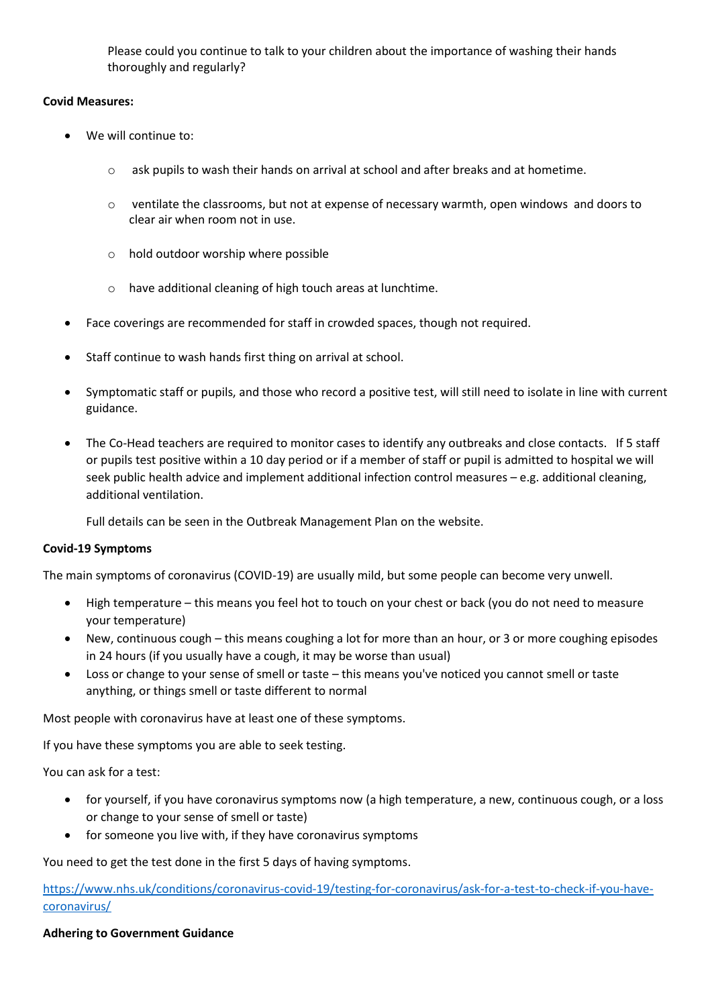Please could you continue to talk to your children about the importance of washing their hands thoroughly and regularly?

#### **Covid Measures:**

- We will continue to:
	- o ask pupils to wash their hands on arrival at school and after breaks and at hometime.
	- $\circ$  ventilate the classrooms, but not at expense of necessary warmth, open windows and doors to clear air when room not in use.
	- o hold outdoor worship where possible
	- o have additional cleaning of high touch areas at lunchtime.
- Face coverings are recommended for staff in crowded spaces, though not required.
- Staff continue to wash hands first thing on arrival at school.
- Symptomatic staff or pupils, and those who record a positive test, will still need to isolate in line with current guidance.
- The Co-Head teachers are required to monitor cases to identify any outbreaks and close contacts. If 5 staff or pupils test positive within a 10 day period or if a member of staff or pupil is admitted to hospital we will seek public health advice and implement additional infection control measures – e.g. additional cleaning, additional ventilation.

Full details can be seen in the Outbreak Management Plan on the website.

#### **Covid-19 Symptoms**

The main symptoms of coronavirus (COVID-19) are usually mild, but some people can become very unwell.

- High temperature this means you feel hot to touch on your chest or back (you do not need to measure your temperature)
- New, continuous cough this means coughing a lot for more than an hour, or 3 or more coughing episodes in 24 hours (if you usually have a cough, it may be worse than usual)
- Loss or change to your sense of smell or taste this means you've noticed you cannot smell or taste anything, or things smell or taste different to normal

Most people with coronavirus have at least one of these symptoms.

If you have these symptoms you are able to seek testing.

You can ask for a test:

- for yourself, if you have coronavirus symptoms now (a high temperature, a new, continuous cough, or a loss or change to your sense of smell or taste)
- for someone you live with, if they have coronavirus symptoms

You need to get the test done in the first 5 days of having symptoms.

[https://www.nhs.uk/conditions/coronavirus-covid-19/testing-for-coronavirus/ask-for-a-test-to-check-if-you-have](https://www.nhs.uk/conditions/coronavirus-covid-19/testing-for-coronavirus/ask-for-a-test-to-check-if-you-have-coronavirus/)[coronavirus/](https://www.nhs.uk/conditions/coronavirus-covid-19/testing-for-coronavirus/ask-for-a-test-to-check-if-you-have-coronavirus/)

#### **Adhering to Government Guidance**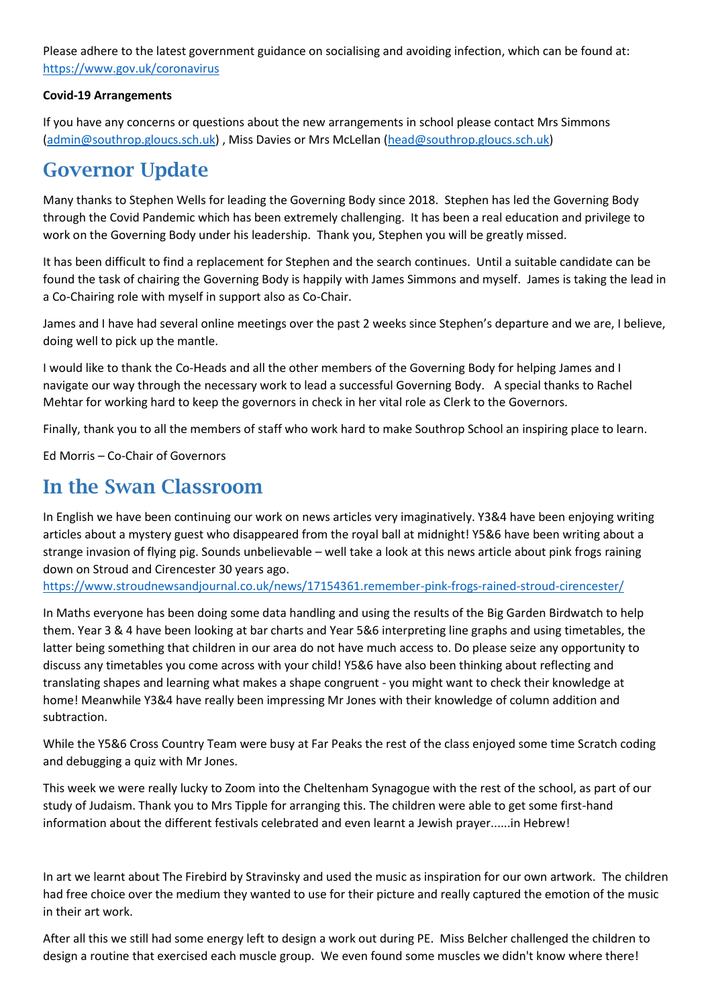Please adhere to the latest government guidance on socialising and avoiding infection, which can be found at: <https://www.gov.uk/coronavirus>

#### **Covid-19 Arrangements**

If you have any concerns or questions about the new arrangements in school please contact Mrs Simmons [\(admin@southrop.gloucs.sch.uk\)](mailto:admin@southrop.gloucs.sch.uk) , Miss Davies or Mrs McLellan [\(head@southrop.gloucs.sch.uk\)](mailto:head@southrop.gloucs.sch.uk)

### **Governor Update**

Many thanks to Stephen Wells for leading the Governing Body since 2018. Stephen has led the Governing Body through the Covid Pandemic which has been extremely challenging. It has been a real education and privilege to work on the Governing Body under his leadership. Thank you, Stephen you will be greatly missed.

It has been difficult to find a replacement for Stephen and the search continues. Until a suitable candidate can be found the task of chairing the Governing Body is happily with James Simmons and myself. James is taking the lead in a Co-Chairing role with myself in support also as Co-Chair.

James and I have had several online meetings over the past 2 weeks since Stephen's departure and we are, I believe, doing well to pick up the mantle.

I would like to thank the Co-Heads and all the other members of the Governing Body for helping James and I navigate our way through the necessary work to lead a successful Governing Body. A special thanks to Rachel Mehtar for working hard to keep the governors in check in her vital role as Clerk to the Governors.

Finally, thank you to all the members of staff who work hard to make Southrop School an inspiring place to learn.

Ed Morris – Co-Chair of Governors

### **In the Swan Classroom**

In English we have been continuing our work on news articles very imaginatively. Y3&4 have been enjoying writing articles about a mystery guest who disappeared from the royal ball at midnight! Y5&6 have been writing about a strange invasion of flying pig. Sounds unbelievable – well take a look at this news article about pink frogs raining down on Stroud and Cirencester 30 years ago.

<https://www.stroudnewsandjournal.co.uk/news/17154361.remember-pink-frogs-rained-stroud-cirencester/>

In Maths everyone has been doing some data handling and using the results of the Big Garden Birdwatch to help them. Year 3 & 4 have been looking at bar charts and Year 5&6 interpreting line graphs and using timetables, the latter being something that children in our area do not have much access to. Do please seize any opportunity to discuss any timetables you come across with your child! Y5&6 have also been thinking about reflecting and translating shapes and learning what makes a shape congruent - you might want to check their knowledge at home! Meanwhile Y3&4 have really been impressing Mr Jones with their knowledge of column addition and subtraction.

While the Y5&6 Cross Country Team were busy at Far Peaks the rest of the class enjoyed some time Scratch coding and debugging a quiz with Mr Jones.

This week we were really lucky to Zoom into the Cheltenham Synagogue with the rest of the school, as part of our study of Judaism. Thank you to Mrs Tipple for arranging this. The children were able to get some first-hand information about the different festivals celebrated and even learnt a Jewish prayer......in Hebrew!

In art we learnt about The Firebird by Stravinsky and used the music as inspiration for our own artwork. The children had free choice over the medium they wanted to use for their picture and really captured the emotion of the music in their art work.

After all this we still had some energy left to design a work out during PE. Miss Belcher challenged the children to design a routine that exercised each muscle group. We even found some muscles we didn't know where there!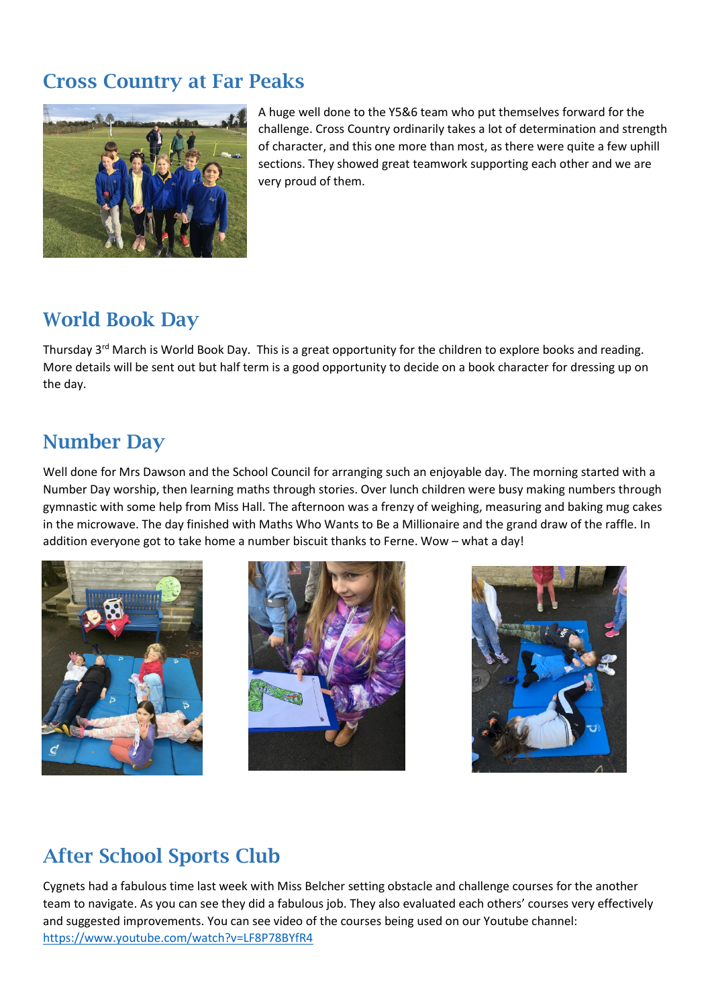### **Cross Country at Far Peaks**



A huge well done to the Y5&6 team who put themselves forward for the challenge. Cross Country ordinarily takes a lot of determination and strength of character, and this one more than most, as there were quite a few uphill sections. They showed great teamwork supporting each other and we are very proud of them.

## **World Book Day**

Thursday 3<sup>rd</sup> March is World Book Day. This is a great opportunity for the children to explore books and reading. More details will be sent out but half term is a good opportunity to decide on a book character for dressing up on the day.

## **Number Day**

Well done for Mrs Dawson and the School Council for arranging such an enjoyable day. The morning started with a Number Day worship, then learning maths through stories. Over lunch children were busy making numbers through gymnastic with some help from Miss Hall. The afternoon was a frenzy of weighing, measuring and baking mug cakes in the microwave. The day finished with Maths Who Wants to Be a Millionaire and the grand draw of the raffle. In addition everyone got to take home a number biscuit thanks to Ferne. Wow – what a day!







# **After School Sports Club**

Cygnets had a fabulous time last week with Miss Belcher setting obstacle and challenge courses for the another team to navigate. As you can see they did a fabulous job. They also evaluated each others' courses very effectively and suggested improvements. You can see video of the courses being used on our Youtube channel: <https://www.youtube.com/watch?v=LF8P78BYfR4>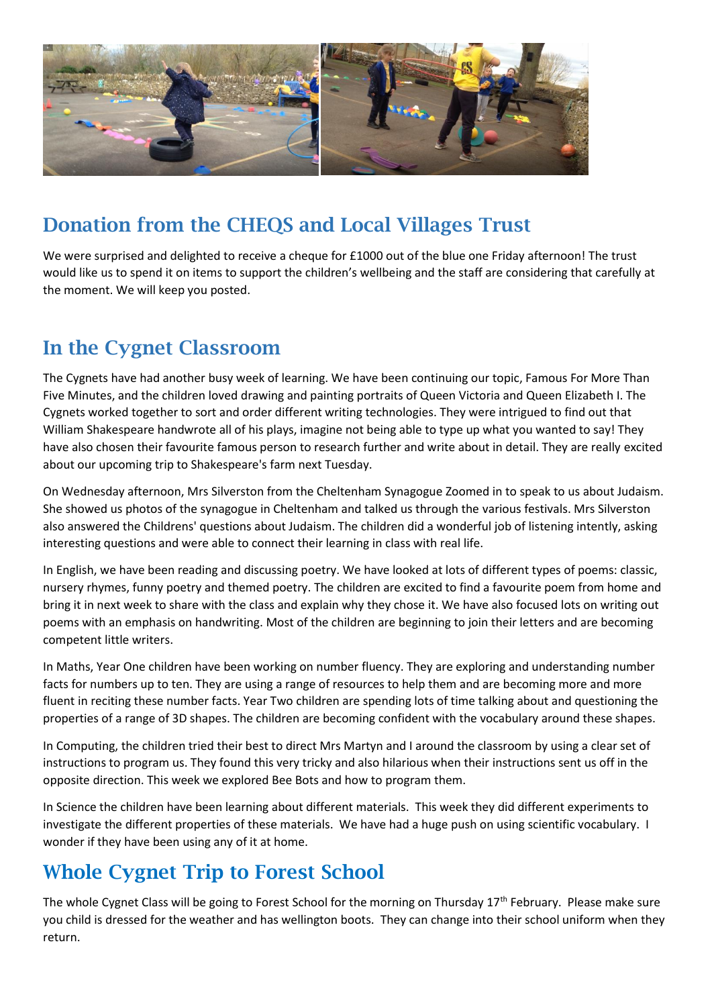

## **Donation from the CHEQS and Local Villages Trust**

We were surprised and delighted to receive a cheque for £1000 out of the blue one Friday afternoon! The trust would like us to spend it on items to support the children's wellbeing and the staff are considering that carefully at the moment. We will keep you posted.

### **In the Cygnet Classroom**

The Cygnets have had another busy week of learning. We have been continuing our topic, Famous For More Than Five Minutes, and the children loved drawing and painting portraits of Queen Victoria and Queen Elizabeth I. The Cygnets worked together to sort and order different writing technologies. They were intrigued to find out that William Shakespeare handwrote all of his plays, imagine not being able to type up what you wanted to say! They have also chosen their favourite famous person to research further and write about in detail. They are really excited about our upcoming trip to Shakespeare's farm next Tuesday.

On Wednesday afternoon, Mrs Silverston from the Cheltenham Synagogue Zoomed in to speak to us about Judaism. She showed us photos of the synagogue in Cheltenham and talked us through the various festivals. Mrs Silverston also answered the Childrens' questions about Judaism. The children did a wonderful job of listening intently, asking interesting questions and were able to connect their learning in class with real life.

In English, we have been reading and discussing poetry. We have looked at lots of different types of poems: classic, nursery rhymes, funny poetry and themed poetry. The children are excited to find a favourite poem from home and bring it in next week to share with the class and explain why they chose it. We have also focused lots on writing out poems with an emphasis on handwriting. Most of the children are beginning to join their letters and are becoming competent little writers.

In Maths, Year One children have been working on number fluency. They are exploring and understanding number facts for numbers up to ten. They are using a range of resources to help them and are becoming more and more fluent in reciting these number facts. Year Two children are spending lots of time talking about and questioning the properties of a range of 3D shapes. The children are becoming confident with the vocabulary around these shapes.

In Computing, the children tried their best to direct Mrs Martyn and I around the classroom by using a clear set of instructions to program us. They found this very tricky and also hilarious when their instructions sent us off in the opposite direction. This week we explored Bee Bots and how to program them.

In Science the children have been learning about different materials. This week they did different experiments to investigate the different properties of these materials. We have had a huge push on using scientific vocabulary. I wonder if they have been using any of it at home.

## **Whole Cygnet Trip to Forest School**

The whole Cygnet Class will be going to Forest School for the morning on Thursday  $17<sup>th</sup>$  February. Please make sure you child is dressed for the weather and has wellington boots. They can change into their school uniform when they return.